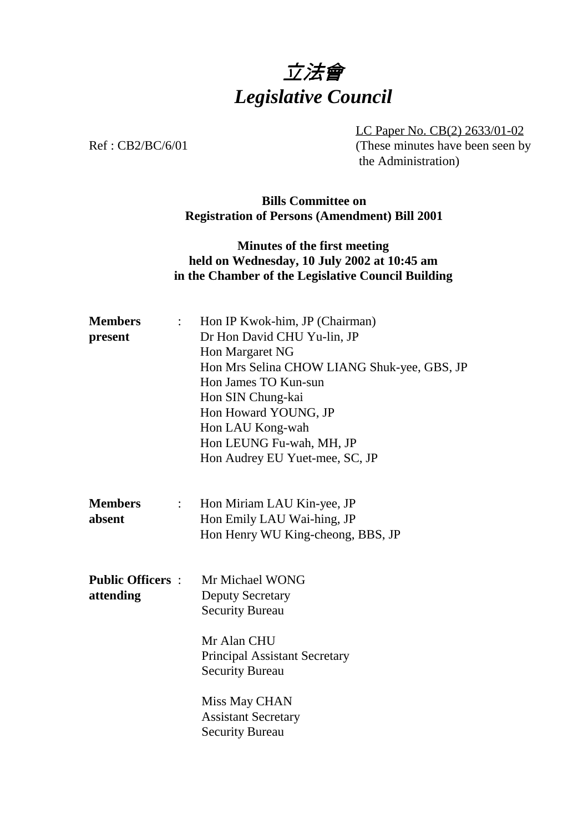# 立法會 *Legislative Council*

LC Paper No. CB(2) 2633/01-02 Ref : CB2/BC/6/01 (These minutes have been seen by the Administration)

#### **Bills Committee on Registration of Persons (Amendment) Bill 2001**

#### **Minutes of the first meeting held on Wednesday, 10 July 2002 at 10:45 am in the Chamber of the Legislative Council Building**

| <b>Members</b><br>$\mathbb{R}^{\mathbb{Z}}$ | Hon IP Kwok-him, JP (Chairman)              |
|---------------------------------------------|---------------------------------------------|
| present                                     | Dr Hon David CHU Yu-lin, JP                 |
|                                             | Hon Margaret NG                             |
|                                             | Hon Mrs Selina CHOW LIANG Shuk-yee, GBS, JP |
|                                             | Hon James TO Kun-sun                        |
|                                             | Hon SIN Chung-kai                           |
|                                             | Hon Howard YOUNG, JP                        |
|                                             | Hon LAU Kong-wah                            |
|                                             | Hon LEUNG Fu-wah, MH, JP                    |
|                                             | Hon Audrey EU Yuet-mee, SC, JP              |
|                                             |                                             |
| <b>Members</b><br>$\mathbb{Z}^{\mathbb{Z}}$ | Hon Miriam LAU Kin-yee, JP                  |
| absent                                      | Hon Emily LAU Wai-hing, JP                  |
|                                             | Hon Henry WU King-cheong, BBS, JP           |
|                                             |                                             |
| <b>Public Officers:</b>                     | Mr Michael WONG                             |
| attending                                   | <b>Deputy Secretary</b>                     |
|                                             | <b>Security Bureau</b>                      |
|                                             |                                             |
|                                             | Mr Alan CHU                                 |
|                                             | <b>Principal Assistant Secretary</b>        |
|                                             | <b>Security Bureau</b>                      |
|                                             |                                             |
|                                             | Miss May CHAN                               |
|                                             | <b>Assistant Secretary</b>                  |
|                                             | <b>Security Bureau</b>                      |
|                                             |                                             |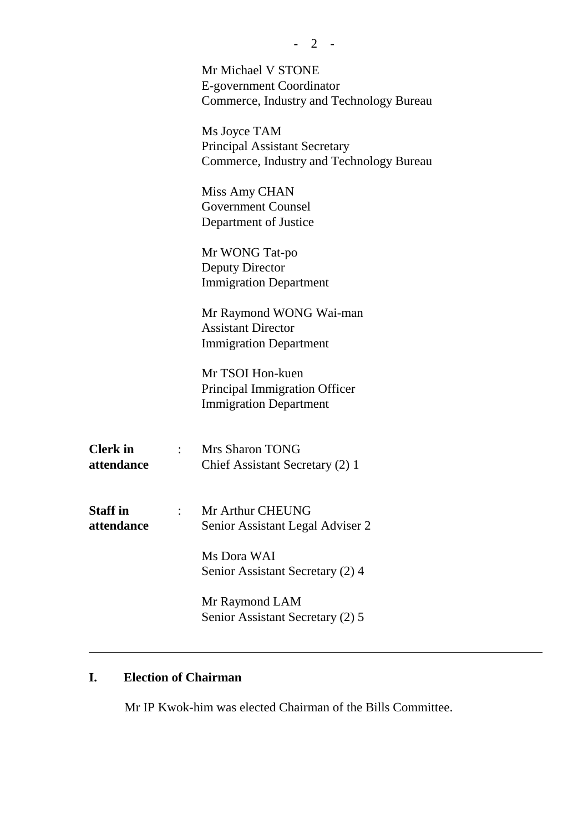|                               | Mr Michael V STONE<br>E-government Coordinator<br>Commerce, Industry and Technology Bureau<br>Ms Joyce TAM<br><b>Principal Assistant Secretary</b><br>Commerce, Industry and Technology Bureau |
|-------------------------------|------------------------------------------------------------------------------------------------------------------------------------------------------------------------------------------------|
|                               | Miss Amy CHAN<br><b>Government Counsel</b><br>Department of Justice                                                                                                                            |
|                               | Mr WONG Tat-po<br><b>Deputy Director</b><br><b>Immigration Department</b>                                                                                                                      |
|                               | Mr Raymond WONG Wai-man<br><b>Assistant Director</b><br><b>Immigration Department</b>                                                                                                          |
|                               | Mr TSOI Hon-kuen<br><b>Principal Immigration Officer</b><br><b>Immigration Department</b>                                                                                                      |
| <b>Clerk</b> in<br>attendance | : Mrs Sharon TONG<br>Chief Assistant Secretary (2) 1                                                                                                                                           |
| <b>Staff</b> in<br>attendance | Mr Arthur CHEUNG<br>Senior Assistant Legal Adviser 2                                                                                                                                           |
|                               | Ms Dora WAI<br>Senior Assistant Secretary (2) 4                                                                                                                                                |
|                               | Mr Raymond LAM<br>Senior Assistant Secretary (2) 5                                                                                                                                             |

### **I. Election of Chairman**

ı

Mr IP Kwok-him was elected Chairman of the Bills Committee.

**-** 2 -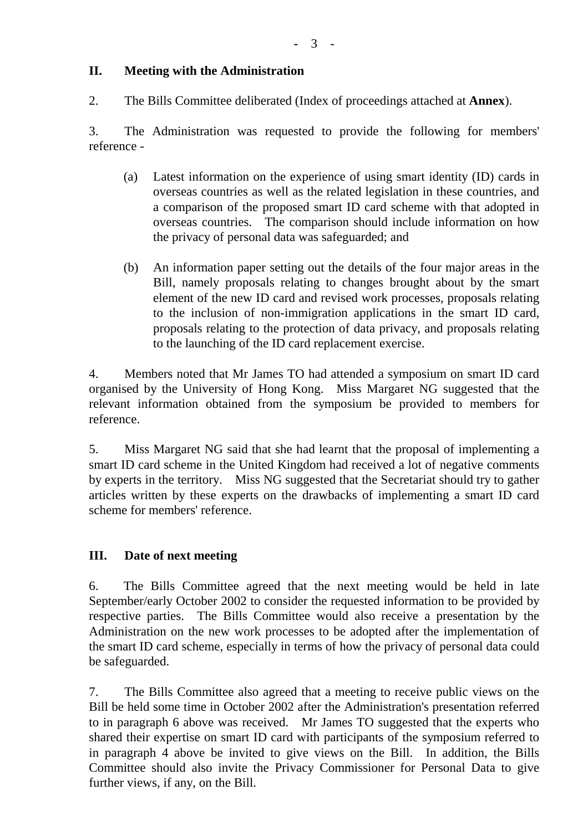#### **II. Meeting with the Administration**

2. The Bills Committee deliberated (Index of proceedings attached at **Annex**).

3. The Administration was requested to provide the following for members' reference -

- (a) Latest information on the experience of using smart identity (ID) cards in overseas countries as well as the related legislation in these countries, and a comparison of the proposed smart ID card scheme with that adopted in overseas countries. The comparison should include information on how the privacy of personal data was safeguarded; and
- (b) An information paper setting out the details of the four major areas in the Bill, namely proposals relating to changes brought about by the smart element of the new ID card and revised work processes, proposals relating to the inclusion of non-immigration applications in the smart ID card, proposals relating to the protection of data privacy, and proposals relating to the launching of the ID card replacement exercise.

4. Members noted that Mr James TO had attended a symposium on smart ID card organised by the University of Hong Kong. Miss Margaret NG suggested that the relevant information obtained from the symposium be provided to members for reference.

5. Miss Margaret NG said that she had learnt that the proposal of implementing a smart ID card scheme in the United Kingdom had received a lot of negative comments by experts in the territory. Miss NG suggested that the Secretariat should try to gather articles written by these experts on the drawbacks of implementing a smart ID card scheme for members' reference.

#### **III. Date of next meeting**

6. The Bills Committee agreed that the next meeting would be held in late September/early October 2002 to consider the requested information to be provided by respective parties. The Bills Committee would also receive a presentation by the Administration on the new work processes to be adopted after the implementation of the smart ID card scheme, especially in terms of how the privacy of personal data could be safeguarded.

7. The Bills Committee also agreed that a meeting to receive public views on the Bill be held some time in October 2002 after the Administration's presentation referred to in paragraph 6 above was received. Mr James TO suggested that the experts who shared their expertise on smart ID card with participants of the symposium referred to in paragraph 4 above be invited to give views on the Bill. In addition, the Bills Committee should also invite the Privacy Commissioner for Personal Data to give further views, if any, on the Bill.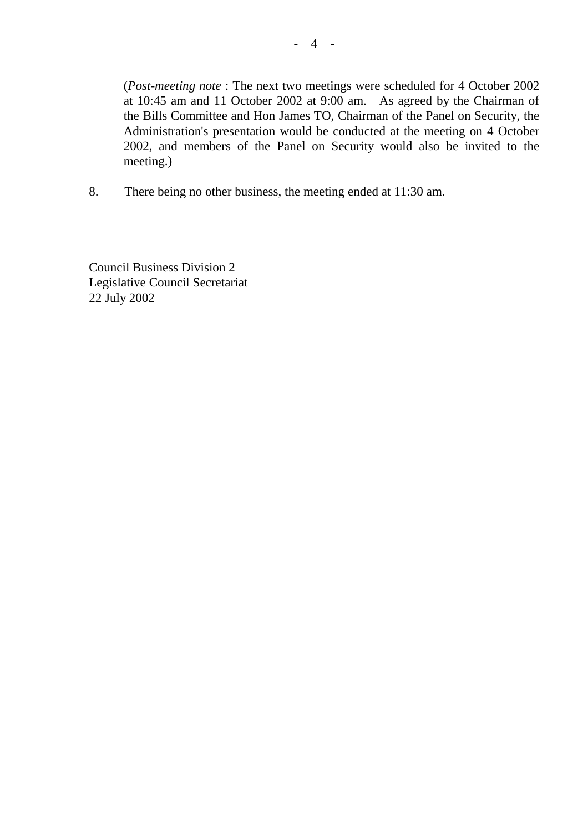(*Post-meeting note* : The next two meetings were scheduled for 4 October 2002 at 10:45 am and 11 October 2002 at 9:00 am. As agreed by the Chairman of the Bills Committee and Hon James TO, Chairman of the Panel on Security, the Administration's presentation would be conducted at the meeting on 4 October 2002, and members of the Panel on Security would also be invited to the meeting.)

8. There being no other business, the meeting ended at 11:30 am.

Council Business Division 2 Legislative Council Secretariat 22 July 2002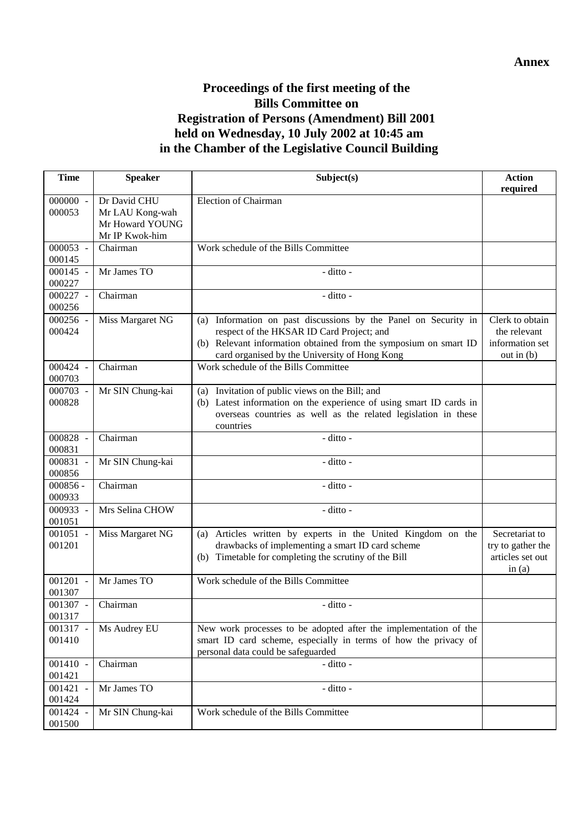#### **Proceedings of the first meeting of the Bills Committee on Registration of Persons (Amendment) Bill 2001 held on Wednesday, 10 July 2002 at 10:45 am in the Chamber of the Legislative Council Building**

| <b>Time</b>          | <b>Speaker</b>                                                       | Subject(s)                                                                                                                                                                                                                        | <b>Action</b><br>required                                           |
|----------------------|----------------------------------------------------------------------|-----------------------------------------------------------------------------------------------------------------------------------------------------------------------------------------------------------------------------------|---------------------------------------------------------------------|
| $000000 -$<br>000053 | Dr David CHU<br>Mr LAU Kong-wah<br>Mr Howard YOUNG<br>Mr IP Kwok-him | <b>Election of Chairman</b>                                                                                                                                                                                                       |                                                                     |
| 000053 -<br>000145   | Chairman                                                             | Work schedule of the Bills Committee                                                                                                                                                                                              |                                                                     |
| 000145 -<br>000227   | Mr James TO                                                          | - ditto -                                                                                                                                                                                                                         |                                                                     |
| 000227 -<br>000256   | Chairman                                                             | - ditto -                                                                                                                                                                                                                         |                                                                     |
| 000256 -<br>000424   | Miss Margaret NG                                                     | (a) Information on past discussions by the Panel on Security in<br>respect of the HKSAR ID Card Project; and<br>(b) Relevant information obtained from the symposium on smart ID<br>card organised by the University of Hong Kong | Clerk to obtain<br>the relevant<br>information set<br>out in $(b)$  |
| 000424 -<br>000703   | Chairman                                                             | Work schedule of the Bills Committee                                                                                                                                                                                              |                                                                     |
| 000703 -<br>000828   | Mr SIN Chung-kai                                                     | Invitation of public views on the Bill; and<br>(a)<br>(b) Latest information on the experience of using smart ID cards in<br>overseas countries as well as the related legislation in these<br>countries                          |                                                                     |
| 000828 -<br>000831   | Chairman                                                             | - ditto -                                                                                                                                                                                                                         |                                                                     |
| 000831 -<br>000856   | Mr SIN Chung-kai                                                     | - ditto -                                                                                                                                                                                                                         |                                                                     |
| $000856 -$<br>000933 | Chairman                                                             | - ditto -                                                                                                                                                                                                                         |                                                                     |
| 000933 -<br>001051   | Mrs Selina CHOW                                                      | - ditto -                                                                                                                                                                                                                         |                                                                     |
| 001051 -<br>001201   | Miss Margaret NG                                                     | (a) Articles written by experts in the United Kingdom on the<br>drawbacks of implementing a smart ID card scheme<br>(b) Timetable for completing the scrutiny of the Bill                                                         | Secretariat to<br>try to gather the<br>articles set out<br>in $(a)$ |
| 001201 -<br>001307   | Mr James TO                                                          | Work schedule of the Bills Committee                                                                                                                                                                                              |                                                                     |
| 001307 -<br>001317   | Chairman                                                             | - ditto -                                                                                                                                                                                                                         |                                                                     |
| 001317 -<br>001410   | Ms Audrey EU                                                         | New work processes to be adopted after the implementation of the<br>smart ID card scheme, especially in terms of how the privacy of<br>personal data could be safeguarded                                                         |                                                                     |
| $001410 -$<br>001421 | Chairman                                                             | - ditto -                                                                                                                                                                                                                         |                                                                     |
| 001421 -<br>001424   | Mr James TO                                                          | - ditto -                                                                                                                                                                                                                         |                                                                     |
| 001424 -<br>001500   | Mr SIN Chung-kai                                                     | Work schedule of the Bills Committee                                                                                                                                                                                              |                                                                     |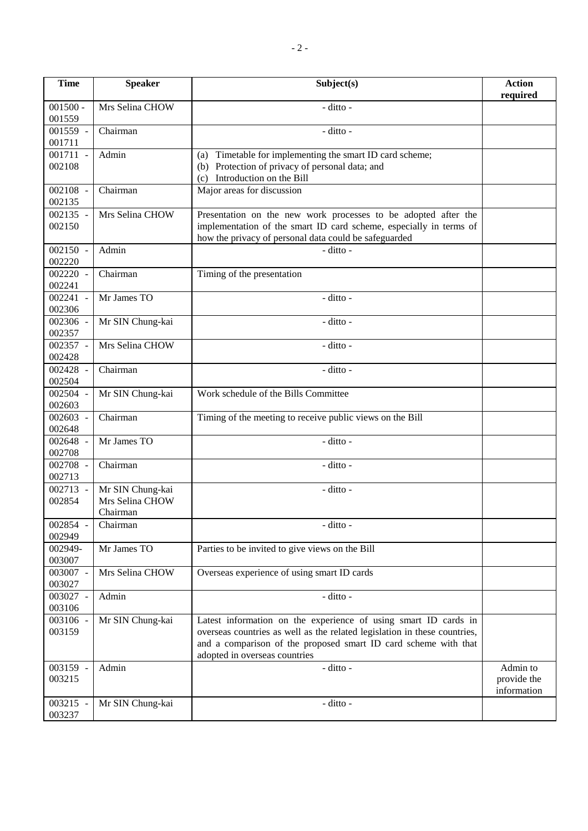| <b>Time</b>          | <b>Speaker</b>                                  | Subject(s)                                                                                                                                                                                                                                       | <b>Action</b><br>required              |
|----------------------|-------------------------------------------------|--------------------------------------------------------------------------------------------------------------------------------------------------------------------------------------------------------------------------------------------------|----------------------------------------|
| $001500 -$<br>001559 | Mrs Selina CHOW                                 | - ditto -                                                                                                                                                                                                                                        |                                        |
| 001559 -<br>001711   | Chairman                                        | - ditto -                                                                                                                                                                                                                                        |                                        |
| 001711 -<br>002108   | Admin                                           | Timetable for implementing the smart ID card scheme;<br>(a)<br>Protection of privacy of personal data; and<br>(b)<br>Introduction on the Bill<br>(c)                                                                                             |                                        |
| 002108 -<br>002135   | Chairman                                        | Major areas for discussion                                                                                                                                                                                                                       |                                        |
| 002135 -<br>002150   | Mrs Selina CHOW                                 | Presentation on the new work processes to be adopted after the<br>implementation of the smart ID card scheme, especially in terms of<br>how the privacy of personal data could be safeguarded                                                    |                                        |
| $002150 -$<br>002220 | Admin                                           | - ditto -                                                                                                                                                                                                                                        |                                        |
| $002220 -$<br>002241 | Chairman                                        | Timing of the presentation                                                                                                                                                                                                                       |                                        |
| 002241 -<br>002306   | Mr James TO                                     | - ditto -                                                                                                                                                                                                                                        |                                        |
| 002306 -<br>002357   | Mr SIN Chung-kai                                | - ditto -                                                                                                                                                                                                                                        |                                        |
| 002357 -<br>002428   | Mrs Selina CHOW                                 | - ditto -                                                                                                                                                                                                                                        |                                        |
| 002428 -<br>002504   | Chairman                                        | - ditto -                                                                                                                                                                                                                                        |                                        |
| 002504 -<br>002603   | Mr SIN Chung-kai                                | Work schedule of the Bills Committee                                                                                                                                                                                                             |                                        |
| $002603 -$<br>002648 | Chairman                                        | Timing of the meeting to receive public views on the Bill                                                                                                                                                                                        |                                        |
| 002648 -<br>002708   | Mr James TO                                     | - ditto -                                                                                                                                                                                                                                        |                                        |
| 002708 -<br>002713   | Chairman                                        | - ditto -                                                                                                                                                                                                                                        |                                        |
| 002713 -<br>002854   | Mr SIN Chung-kai<br>Mrs Selina CHOW<br>Chairman | - ditto -                                                                                                                                                                                                                                        |                                        |
| 002854 -<br>002949   | Chairman                                        | - ditto -                                                                                                                                                                                                                                        |                                        |
| 002949-<br>003007    | Mr James TO                                     | Parties to be invited to give views on the Bill                                                                                                                                                                                                  |                                        |
| 003007 -<br>003027   | Mrs Selina CHOW                                 | Overseas experience of using smart ID cards                                                                                                                                                                                                      |                                        |
| 003027 -<br>003106   | Admin                                           | - ditto -                                                                                                                                                                                                                                        |                                        |
| 003106 -<br>003159   | Mr SIN Chung-kai                                | Latest information on the experience of using smart ID cards in<br>overseas countries as well as the related legislation in these countries,<br>and a comparison of the proposed smart ID card scheme with that<br>adopted in overseas countries |                                        |
| 003159 -<br>003215   | Admin                                           | - ditto -                                                                                                                                                                                                                                        | Admin to<br>provide the<br>information |
| 003215 -<br>003237   | Mr SIN Chung-kai                                | - ditto -                                                                                                                                                                                                                                        |                                        |